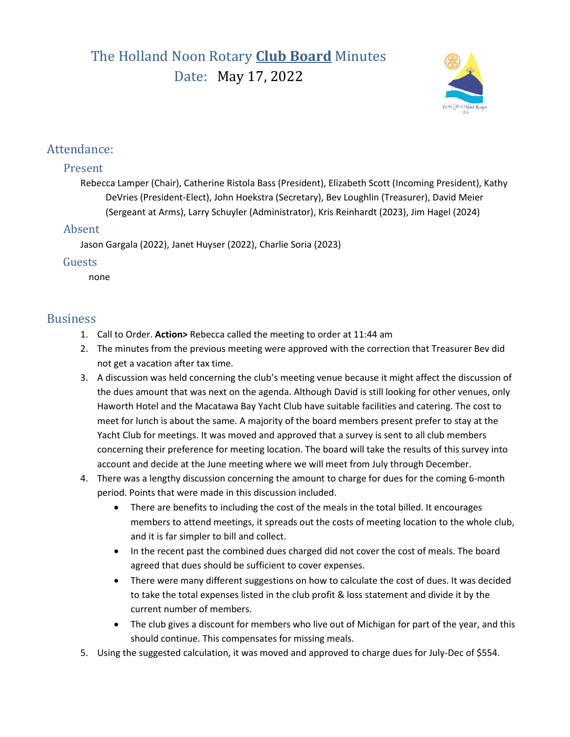# The Holland Noon Rotary **Club Board** Minutes Date: May 17, 2022



## Attendance:

### Present

Rebecca Lamper (Chair), Catherine Ristola Bass (President), Elizabeth Scott (Incoming President), Kathy DeVries (President-Elect), John Hoekstra (Secretary), Bev Loughlin (Treasurer), David Meier (Sergeant at Arms), Larry Schuyler (Administrator), Kris Reinhardt (2023), Jim Hagel (2024)

### Absent

Jason Gargala (2022), Janet Huyser (2022), Charlie Soria (2023)

#### Guests

none

## **Business**

- 1. Call to Order. **Action>** Rebecca called the meeting to order at 11:44 am
- 2. The minutes from the previous meeting were approved with the correction that Treasurer Bev did not get a vacation after tax time.
- 3. A discussion was held concerning the club's meeting venue because it might affect the discussion of the dues amount that was next on the agenda. Although David is still looking for other venues, only Haworth Hotel and the Macatawa Bay Yacht Club have suitable facilities and catering. The cost to meet for lunch is about the same. A majority of the board members present prefer to stay at the Yacht Club for meetings. It was moved and approved that a survey is sent to all club members concerning their preference for meeting location. The board will take the results of this survey into account and decide at the June meeting where we will meet from July through December.
- 4. There was a lengthy discussion concerning the amount to charge for dues for the coming 6-month period. Points that were made in this discussion included.
	- There are benefits to including the cost of the meals in the total billed. It encourages members to attend meetings, it spreads out the costs of meeting location to the whole club, and it is far simpler to bill and collect.
	- In the recent past the combined dues charged did not cover the cost of meals. The board agreed that dues should be sufficient to cover expenses.
	- There were many different suggestions on how to calculate the cost of dues. It was decided to take the total expenses listed in the club profit & loss statement and divide it by the current number of members.
	- The club gives a discount for members who live out of Michigan for part of the year, and this should continue. This compensates for missing meals.
- 5. Using the suggested calculation, it was moved and approved to charge dues for July-Dec of \$554.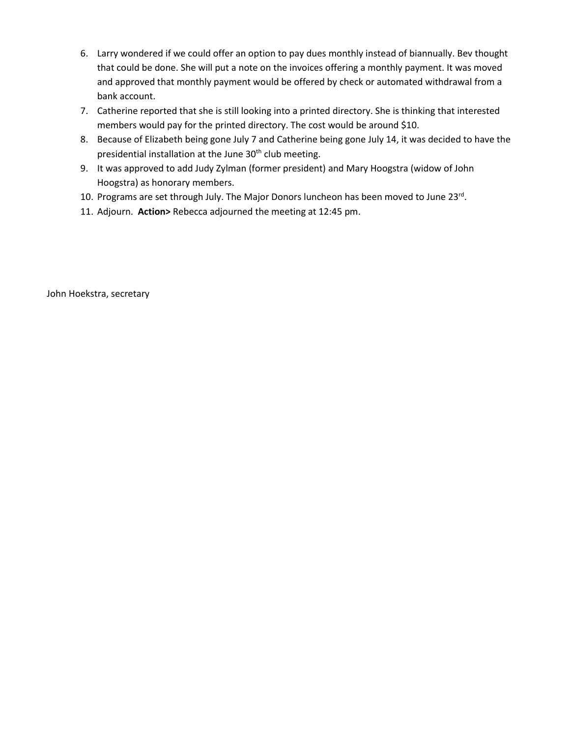- 6. Larry wondered if we could offer an option to pay dues monthly instead of biannually. Bev thought that could be done. She will put a note on the invoices offering a monthly payment. It was moved and approved that monthly payment would be offered by check or automated withdrawal from a bank account.
- 7. Catherine reported that she is still looking into a printed directory. She is thinking that interested members would pay for the printed directory. The cost would be around \$10.
- 8. Because of Elizabeth being gone July 7 and Catherine being gone July 14, it was decided to have the presidential installation at the June 30<sup>th</sup> club meeting.
- 9. It was approved to add Judy Zylman (former president) and Mary Hoogstra (widow of John Hoogstra) as honorary members.
- 10. Programs are set through July. The Major Donors luncheon has been moved to June 23rd.
- 11. Adjourn. **Action>** Rebecca adjourned the meeting at 12:45 pm.

John Hoekstra, secretary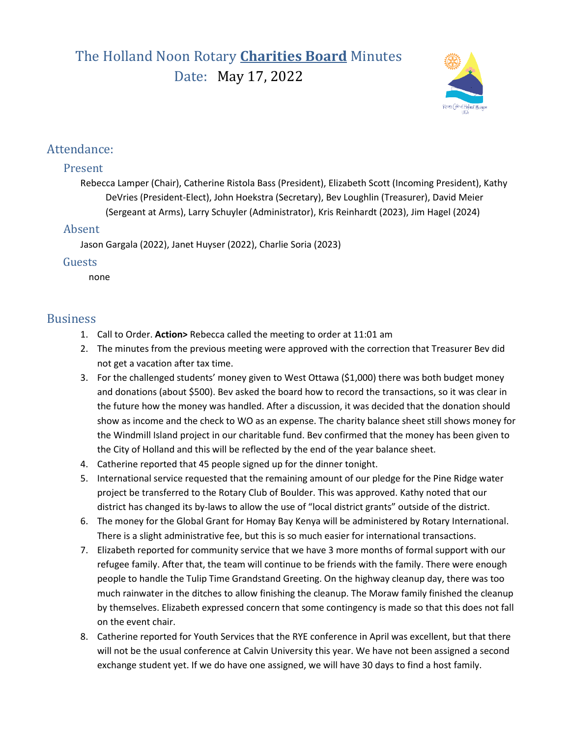# The Holland Noon Rotary **Charities Board** Minutes Date: May 17, 2022



## Attendance:

### Present

Rebecca Lamper (Chair), Catherine Ristola Bass (President), Elizabeth Scott (Incoming President), Kathy DeVries (President-Elect), John Hoekstra (Secretary), Bev Loughlin (Treasurer), David Meier (Sergeant at Arms), Larry Schuyler (Administrator), Kris Reinhardt (2023), Jim Hagel (2024)

### Absent

Jason Gargala (2022), Janet Huyser (2022), Charlie Soria (2023)

#### Guests

none

## **Business**

- 1. Call to Order. **Action>** Rebecca called the meeting to order at 11:01 am
- 2. The minutes from the previous meeting were approved with the correction that Treasurer Bev did not get a vacation after tax time.
- 3. For the challenged students' money given to West Ottawa (\$1,000) there was both budget money and donations (about \$500). Bev asked the board how to record the transactions, so it was clear in the future how the money was handled. After a discussion, it was decided that the donation should show as income and the check to WO as an expense. The charity balance sheet still shows money for the Windmill Island project in our charitable fund. Bev confirmed that the money has been given to the City of Holland and this will be reflected by the end of the year balance sheet.
- 4. Catherine reported that 45 people signed up for the dinner tonight.
- 5. International service requested that the remaining amount of our pledge for the Pine Ridge water project be transferred to the Rotary Club of Boulder. This was approved. Kathy noted that our district has changed its by-laws to allow the use of "local district grants" outside of the district.
- 6. The money for the Global Grant for Homay Bay Kenya will be administered by Rotary International. There is a slight administrative fee, but this is so much easier for international transactions.
- 7. Elizabeth reported for community service that we have 3 more months of formal support with our refugee family. After that, the team will continue to be friends with the family. There were enough people to handle the Tulip Time Grandstand Greeting. On the highway cleanup day, there was too much rainwater in the ditches to allow finishing the cleanup. The Moraw family finished the cleanup by themselves. Elizabeth expressed concern that some contingency is made so that this does not fall on the event chair.
- 8. Catherine reported for Youth Services that the RYE conference in April was excellent, but that there will not be the usual conference at Calvin University this year. We have not been assigned a second exchange student yet. If we do have one assigned, we will have 30 days to find a host family.